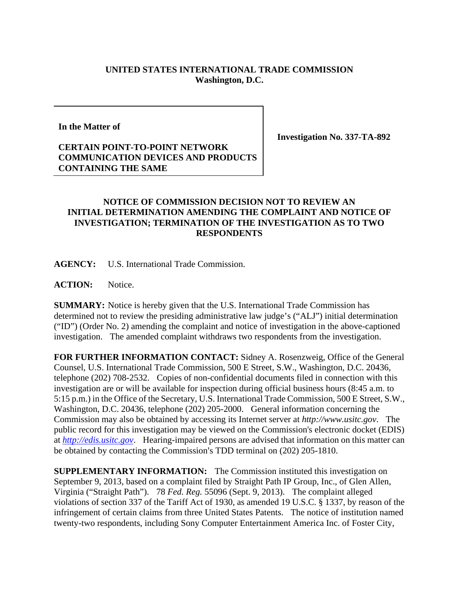## **UNITED STATES INTERNATIONAL TRADE COMMISSION Washington, D.C.**

**In the Matter of** 

## **CERTAIN POINT-TO-POINT NETWORK COMMUNICATION DEVICES AND PRODUCTS CONTAINING THE SAME**

**Investigation No. 337-TA-892** 

## **NOTICE OF COMMISSION DECISION NOT TO REVIEW AN INITIAL DETERMINATION AMENDING THE COMPLAINT AND NOTICE OF INVESTIGATION; TERMINATION OF THE INVESTIGATION AS TO TWO RESPONDENTS**

**AGENCY:** U.S. International Trade Commission.

**ACTION:** Notice.

**SUMMARY:** Notice is hereby given that the U.S. International Trade Commission has determined not to review the presiding administrative law judge's ("ALJ") initial determination ("ID") (Order No. 2) amending the complaint and notice of investigation in the above-captioned investigation. The amended complaint withdraws two respondents from the investigation.

**FOR FURTHER INFORMATION CONTACT:** Sidney A. Rosenzweig, Office of the General Counsel, U.S. International Trade Commission, 500 E Street, S.W., Washington, D.C. 20436, telephone (202) 708-2532. Copies of non-confidential documents filed in connection with this investigation are or will be available for inspection during official business hours (8:45 a.m. to 5:15 p.m.) in the Office of the Secretary, U.S. International Trade Commission, 500 E Street, S.W., Washington, D.C. 20436, telephone (202) 205-2000. General information concerning the Commission may also be obtained by accessing its Internet server at *http://www.usitc.gov*. The public record for this investigation may be viewed on the Commission's electronic docket (EDIS) at *http://edis.usitc.gov*. Hearing-impaired persons are advised that information on this matter can be obtained by contacting the Commission's TDD terminal on (202) 205-1810.

**SUPPLEMENTARY INFORMATION:** The Commission instituted this investigation on September 9, 2013, based on a complaint filed by Straight Path IP Group, Inc., of Glen Allen, Virginia ("Straight Path"). 78 *Fed. Reg.* 55096 (Sept. 9, 2013). The complaint alleged violations of section 337 of the Tariff Act of 1930, as amended 19 U.S.C. § 1337, by reason of the infringement of certain claims from three United States Patents. The notice of institution named twenty-two respondents, including Sony Computer Entertainment America Inc. of Foster City,